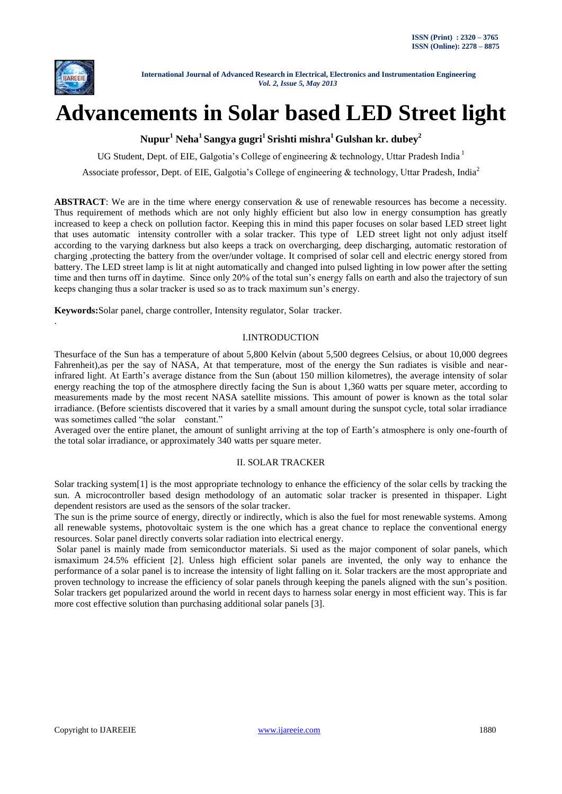

.

 **International Journal of Advanced Research in Electrical, Electronics and Instrumentation Engineering**  *Vol. 2, Issue 5, May 2013*

# **Advancements in Solar based LED Street light**

**Nupur<sup>1</sup> Neha<sup>1</sup> Sangya gugri<sup>1</sup> Srishti mishra<sup>1</sup>Gulshan kr. dubey<sup>2</sup>**

UG Student, Dept. of EIE, Galgotia's College of engineering & technology, Uttar Pradesh India<sup>1</sup>

Associate professor, Dept. of EIE, Galgotia's College of engineering & technology, Uttar Pradesh, India<sup>2</sup>

ABSTRACT: We are in the time where energy conservation  $\&$  use of renewable resources has become a necessity. Thus requirement of methods which are not only highly efficient but also low in energy consumption has greatly increased to keep a check on pollution factor. Keeping this in mind this paper focuses on solar based LED street light that uses automatic intensity controller with a solar tracker. This type of LED street light not only adjust itself according to the varying darkness but also keeps a track on overcharging, deep discharging, automatic restoration of charging ,protecting the battery from the over/under voltage. It comprised of solar cell and electric energy stored from battery. The LED street lamp is lit at night automatically and changed into pulsed lighting in low power after the setting time and then turns off in daytime. Since only 20% of the total sun"s energy falls on earth and also the trajectory of sun keeps changing thus a solar tracker is used so as to track maximum sun's energy.

**Keywords:**Solar panel, charge controller, Intensity regulator, Solar tracker.

## I.INTRODUCTION

Thesurface of the Sun has a temperature of about 5,800 Kelvin (about 5,500 degrees Celsius, or about 10,000 degrees Fahrenheit),as per the say of NASA, At that temperature, most of the energy the Sun radiates is visible and nearinfrared light. At Earth"s average distance from the Sun (about 150 million kilometres), the average intensity of solar energy reaching the top of the atmosphere directly facing the Sun is about 1,360 watts per square meter, according to measurements made by the most recent NASA satellite missions. This amount of power is known as the total solar irradiance. (Before scientists discovered that it varies by a small amount during the sunspot cycle, total solar irradiance was sometimes called "the solar constant."

Averaged over the entire planet, the amount of sunlight arriving at the top of Earth"s atmosphere is only one-fourth of the total solar irradiance, or approximately 340 watts per square meter.

## II. SOLAR TRACKER

Solar tracking system[1] is the most appropriate technology to enhance the efficiency of the solar cells by tracking the sun. A microcontroller based design methodology of an automatic solar tracker is presented in thispaper. Light dependent resistors are used as the sensors of the solar tracker.

The sun is the prime source of energy, directly or indirectly, which is also the fuel for most renewable systems. Among all renewable systems, photovoltaic system is the one which has a great chance to replace the conventional energy resources. Solar panel directly converts solar radiation into electrical energy.

Solar panel is mainly made from semiconductor materials. Si used as the major component of solar panels, which ismaximum 24.5% efficient [2]. Unless high efficient solar panels are invented, the only way to enhance the performance of a solar panel is to increase the intensity of light falling on it. Solar trackers are the most appropriate and proven technology to increase the efficiency of solar panels through keeping the panels aligned with the sun"s position. Solar trackers get popularized around the world in recent days to harness solar energy in most efficient way. This is far more cost effective solution than purchasing additional solar panels [3].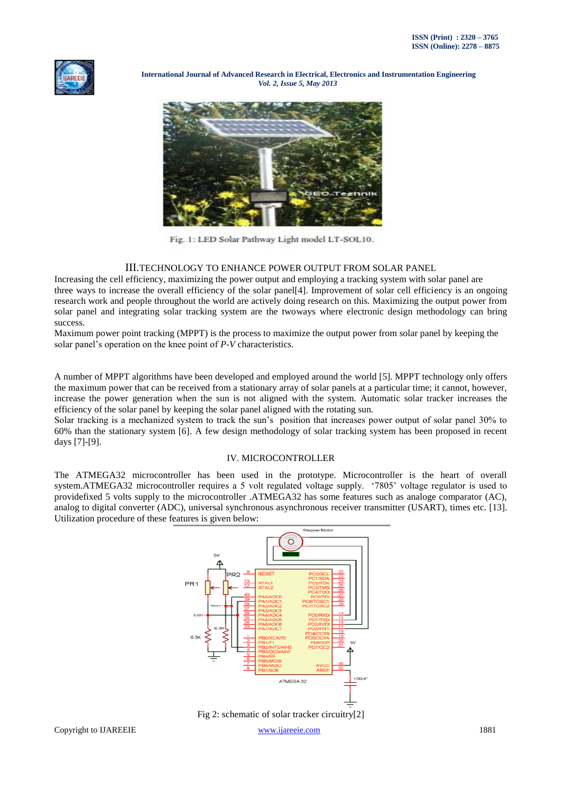

 **International Journal of Advanced Research in Electrical, Electronics and Instrumentation Engineering**  *Vol. 2, Issue 5, May 2013*



Fig. 1: LED Solar Pathway Light model LT-SOL10.

## III.TECHNOLOGY TO ENHANCE POWER OUTPUT FROM SOLAR PANEL

Increasing the cell efficiency, maximizing the power output and employing a tracking system with solar panel are three ways to increase the overall efficiency of the solar panel[4]. Improvement of solar cell efficiency is an ongoing research work and people throughout the world are actively doing research on this. Maximizing the output power from solar panel and integrating solar tracking system are the twoways where electronic design methodology can bring success.

Maximum power point tracking (MPPT) is the process to maximize the output power from solar panel by keeping the solar panel"s operation on the knee point of *P-V* characteristics.

A number of MPPT algorithms have been developed and employed around the world [5]. MPPT technology only offers the maximum power that can be received from a stationary array of solar panels at a particular time; it cannot, however, increase the power generation when the sun is not aligned with the system. Automatic solar tracker increases the efficiency of the solar panel by keeping the solar panel aligned with the rotating sun.

Solar tracking is a mechanized system to track the sun"s position that increases power output of solar panel 30% to 60% than the stationary system [6]. A few design methodology of solar tracking system has been proposed in recent days [7]-[9].

# IV. MICROCONTROLLER

The ATMEGA32 microcontroller has been used in the prototype. Microcontroller is the heart of overall system.ATMEGA32 microcontroller requires a 5 volt regulated voltage supply. "7805" voltage regulator is used to providefixed 5 volts supply to the microcontroller .ATMEGA32 has some features such as analoge comparator (AC), analog to digital converter (ADC), universal synchronous asynchronous receiver transmitter (USART), times etc. [13]. Utilization procedure of these features is given below:



Fig 2: schematic of solar tracker circuitry[2]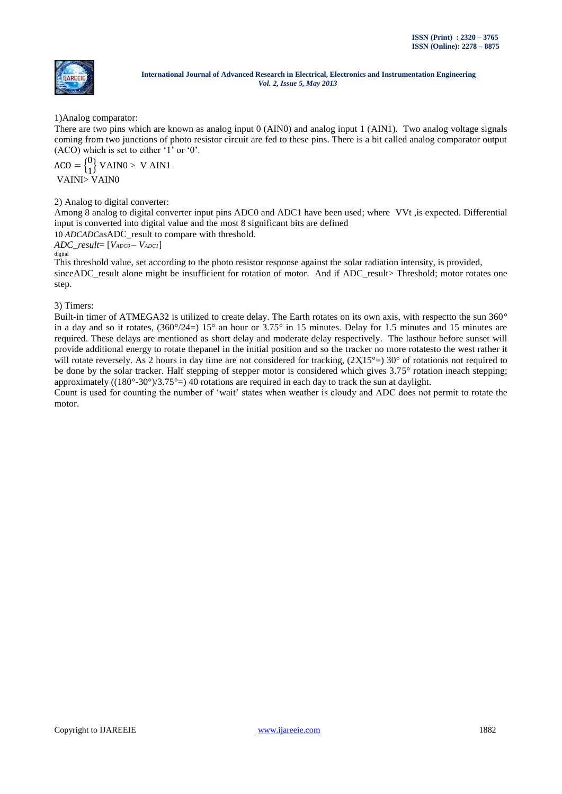

1)Analog comparator:

There are two pins which are known as analog input 0 (AIN0) and analog input 1 (AIN1). Two analog voltage signals coming from two junctions of photo resistor circuit are fed to these pins. There is a bit called analog comparator output  $(ACO)$  which is set to either '1' or '0'.

 $ACO = \begin{cases} 0 \\ 1 \end{cases}$  $\begin{bmatrix} 0 \\ 1 \end{bmatrix}$  VAINO > V AIN1 VAINI> VAIN0

2) Analog to digital converter:

Among 8 analog to digital converter input pins ADC0 and ADC1 have been used; where VVt ,is expected. Differential input is converted into digital value and the most 8 significant bits are defined

10 *ADCADC*asADC\_result to compare with threshold.

*ADC\_result*= [*VADC0 – VADC1*] digital

This threshold value, set according to the photo resistor response against the solar radiation intensity, is provided, sinceADC\_result alone might be insufficient for rotation of motor. And if ADC\_result> Threshold; motor rotates one step.

3) Timers:

Built-in timer of ATMEGA32 is utilized to create delay. The Earth rotates on its own axis, with respectto the sun 360° in a day and so it rotates,  $(360^{\circ}/24=) 15^{\circ}$  an hour or  $3.75^{\circ}$  in 15 minutes. Delay for 1.5 minutes and 15 minutes are required. These delays are mentioned as short delay and moderate delay respectively. The lasthour before sunset will provide additional energy to rotate thepanel in the initial position and so the tracker no more rotatesto the west rather it will rotate reversely. As 2 hours in day time are not considered for tracking,  $(2X15^{\circ} = 30^{\circ}$  of rotationis not required to be done by the solar tracker. Half stepping of stepper motor is considered which gives 3.75° rotation ineach stepping; approximately ((180°-30°)/3.75°=) 40 rotations are required in each day to track the sun at daylight.

Count is used for counting the number of "wait" states when weather is cloudy and ADC does not permit to rotate the motor.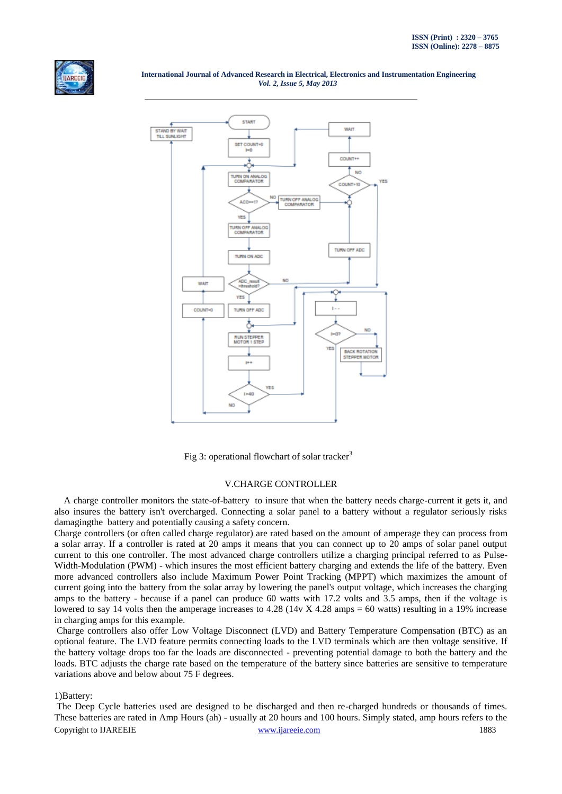

 **International Journal of Advanced Research in Electrical, Electronics and Instrumentation Engineering**  *Vol. 2, Issue 5, May 2013*



Fig 3: operational flowchart of solar tracker<sup>3</sup>

### V.CHARGE CONTROLLER

A charge controller monitors the state-of-battery to insure that when the battery needs charge-current it gets it, and also insures the battery isn't overcharged. Connecting a solar panel to a battery without a regulator seriously risks damagingthe battery and potentially causing a safety concern.

Charge controllers (or often called charge regulator) are rated based on the amount of amperage they can process from a solar array. If a controller is rated at 20 amps it means that you can connect up to 20 amps of solar panel output current to this one controller. The most advanced charge controllers utilize a charging principal referred to as Pulse-Width-Modulation (PWM) - which insures the most efficient battery charging and extends the life of the battery. Even more advanced controllers also include Maximum Power Point Tracking (MPPT) which maximizes the amount of current going into the battery from the solar array by lowering the panel's output voltage, which increases the charging amps to the battery - because if a panel can produce 60 watts with 17.2 volts and 3.5 amps, then if the voltage is lowered to say 14 volts then the amperage increases to 4.28 (14v X 4.28 amps = 60 watts) resulting in a 19% increase in charging amps for this example.

Charge controllers also offer Low Voltage Disconnect (LVD) and Battery Temperature Compensation (BTC) as an optional feature. The LVD feature permits connecting loads to the LVD terminals which are then voltage sensitive. If the battery voltage drops too far the loads are disconnected - preventing potential damage to both the battery and the loads. BTC adjusts the charge rate based on the temperature of the battery since batteries are sensitive to temperature variations above and below about 75 F degrees.

1)Battery:

Copyright to IJAREEIE [www.ijareeie.com](http://www.ijareeie.com/) 1883 The Deep Cycle batteries used are designed to be discharged and then re-charged hundreds or thousands of times. These batteries are rated in Amp Hours (ah) - usually at 20 hours and 100 hours. Simply stated, amp hours refers to the